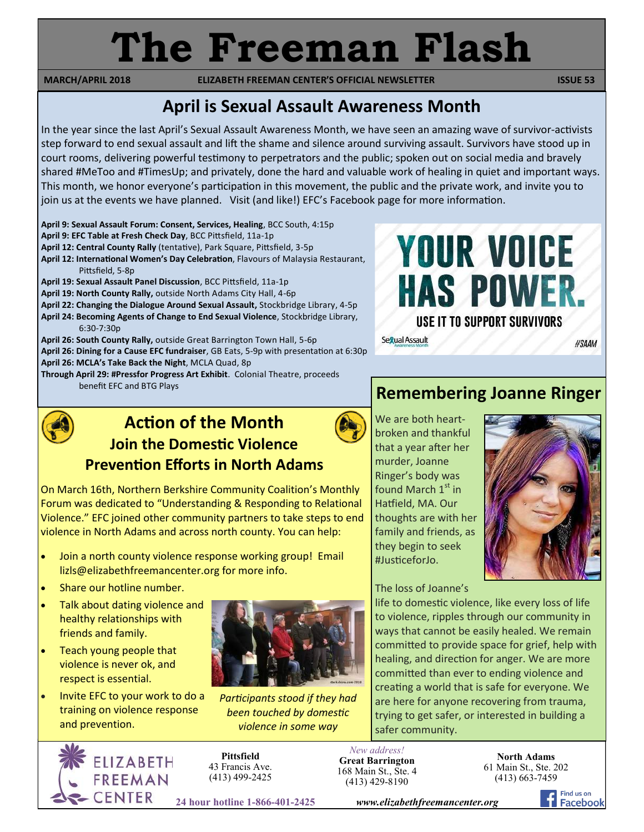# **The Freeman Flash**

**MARCH/APRIL 2018 ELIZABETH FREEMAN CENTER'S OFFICIAL NEWSLETTER ISSUE 53** 

## **April is Sexual Assault Awareness Month**

In the year since the last April's Sexual Assault Awareness Month, we have seen an amazing wave of survivor-activists step forward to end sexual assault and lift the shame and silence around surviving assault. Survivors have stood up in court rooms, delivering powerful testimony to perpetrators and the public; spoken out on social media and bravely shared #MeToo and #TimesUp; and privately, done the hard and valuable work of healing in quiet and important ways. This month, we honor everyone's participation in this movement, the public and the private work, and invite you to join us at the events we have planned. Visit (and like!) EFC's Facebook page for more information.

**April 9: Sexual Assault Forum: Consent, Services, Healing**, BCC South, 4:15p

- **April 9: EFC Table at Fresh Check Day**, BCC Pittsfield, 11a-1p
- **April 12: Central County Rally** (tentative), Park Square, Pittsfield, 3-5p
- **April 12: International Women's Day Celebration**, Flavours of Malaysia Restaurant, Pittsfield, 5-8p
- **April 19: Sexual Assault Panel Discussion**, BCC Pittsfield, 11a-1p
- **April 19: North County Rally,** outside North Adams City Hall, 4-6p
- **April 22: Changing the Dialogue Around Sexual Assault,** Stockbridge Library, 4-5p
- **April 24: Becoming Agents of Change to End Sexual Violence**, Stockbridge Library, 6:30-7:30p
- **April 26: South County Rally,** outside Great Barrington Town Hall, 5-6p
- **April 26: Dining for a Cause EFC fundraiser**, GB Eats, 5-9p with presentation at 6:30p **April 26: MCLA's Take Back the Night**, MCLA Quad, 8p
- 
- **Through April 29: #Pressfor Progress Art Exhibit**. Colonial Theatre, proceeds benefit EFC and BTG Plays **Remembering Joanne Ringer**



## **Action of the Month Join the Domestic Violence Prevention Efforts in North Adams**



On March 16th, Northern Berkshire Community Coalition's Monthly Forum was dedicated to "Understanding & Responding to Relational Violence." EFC joined other community partners to take steps to end violence in North Adams and across north county. You can help:

- Join a north county violence response working group! Email lizls@elizabethfreemancenter.org for more info.
- Share our hotline number.
- Talk about dating violence and healthy relationships with friends and family.
- Teach young people that violence is never ok, and respect is essential.
- Invite EFC to your work to do a training on violence response and prevention.



*Participants stood if they had been touched by domestic violence in some way* 

The loss of Joanne's

life to domestic violence, like every loss of life to violence, ripples through our community in ways that cannot be easily healed. We remain committed to provide space for grief, help with healing, and direction for anger. We are more committed than ever to ending violence and creating a world that is safe for everyone. We are here for anyone recovering from trauma, trying to get safer, or interested in building a safer community.

*New address!* **Great Barrington** 168 Main St., Ste. 4 (413) 429-8190

**North Adams** 61 Main St., Ste. 202 (413) 663-7459



**Pittsfield** 43 Francis Ave. (413) 499-2425

**24 hour hotline 1-866-401-2425** *www.elizabethfreemancenter.org*



We are both heartbroken and thankful that a year after her murder, Joanne Ringer's body was found March  $1<sup>st</sup>$  in Hatfield, MA. Our thoughts are with her family and friends, as they begin to seek #JusticeforJo.